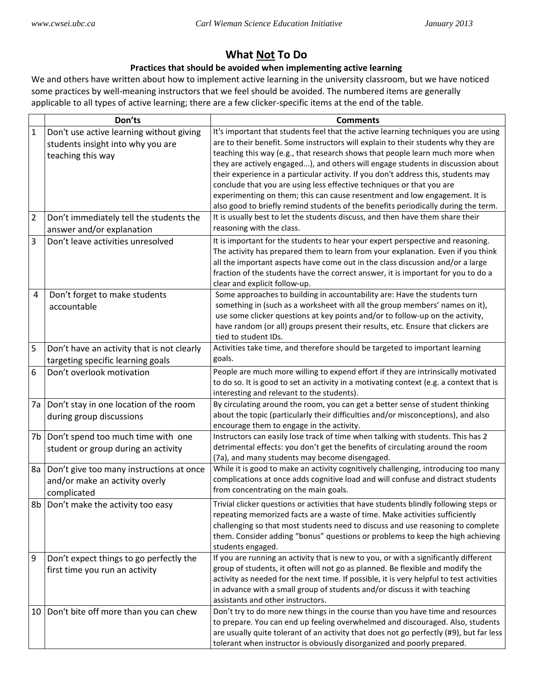## **What Not To Do**

## **Practices that should be avoided when implementing active learning**

We and others have written about how to implement active learning in the university classroom, but we have noticed some practices by well-meaning instructors that we feel should be avoided. The numbered items are generally applicable to all types of active learning; there are a few clicker-specific items at the end of the table.

|                  | Don'ts                                                                                             | <b>Comments</b>                                                                                                                                                                                                                                                                                                                                                                                                                                                                                                                                                                                                                                                                  |
|------------------|----------------------------------------------------------------------------------------------------|----------------------------------------------------------------------------------------------------------------------------------------------------------------------------------------------------------------------------------------------------------------------------------------------------------------------------------------------------------------------------------------------------------------------------------------------------------------------------------------------------------------------------------------------------------------------------------------------------------------------------------------------------------------------------------|
| $\mathbf 1$      | Don't use active learning without giving<br>students insight into why you are<br>teaching this way | It's important that students feel that the active learning techniques you are using<br>are to their benefit. Some instructors will explain to their students why they are<br>teaching this way (e.g., that research shows that people learn much more when<br>they are actively engaged), and others will engage students in discussion about<br>their experience in a particular activity. If you don't address this, students may<br>conclude that you are using less effective techniques or that you are<br>experimenting on them; this can cause resentment and low engagement. It is<br>also good to briefly remind students of the benefits periodically during the term. |
| $\overline{2}$   | Don't immediately tell the students the<br>answer and/or explanation                               | It is usually best to let the students discuss, and then have them share their<br>reasoning with the class.                                                                                                                                                                                                                                                                                                                                                                                                                                                                                                                                                                      |
| 3                | Don't leave activities unresolved                                                                  | It is important for the students to hear your expert perspective and reasoning.<br>The activity has prepared them to learn from your explanation. Even if you think<br>all the important aspects have come out in the class discussion and/or a large<br>fraction of the students have the correct answer, it is important for you to do a<br>clear and explicit follow-up.                                                                                                                                                                                                                                                                                                      |
| 4                | Don't forget to make students<br>accountable                                                       | Some approaches to building in accountability are: Have the students turn<br>something in (such as a worksheet with all the group members' names on it),<br>use some clicker questions at key points and/or to follow-up on the activity,<br>have random (or all) groups present their results, etc. Ensure that clickers are<br>tied to student IDs.                                                                                                                                                                                                                                                                                                                            |
| 5                | Don't have an activity that is not clearly<br>targeting specific learning goals                    | Activities take time, and therefore should be targeted to important learning<br>goals.                                                                                                                                                                                                                                                                                                                                                                                                                                                                                                                                                                                           |
| $\boldsymbol{6}$ | Don't overlook motivation                                                                          | People are much more willing to expend effort if they are intrinsically motivated<br>to do so. It is good to set an activity in a motivating context (e.g. a context that is<br>interesting and relevant to the students).                                                                                                                                                                                                                                                                                                                                                                                                                                                       |
| 7a               | Don't stay in one location of the room<br>during group discussions                                 | By circulating around the room, you can get a better sense of student thinking<br>about the topic (particularly their difficulties and/or misconceptions), and also<br>encourage them to engage in the activity.                                                                                                                                                                                                                                                                                                                                                                                                                                                                 |
| 7b               | Don't spend too much time with one<br>student or group during an activity                          | Instructors can easily lose track of time when talking with students. This has 2<br>detrimental effects: you don't get the benefits of circulating around the room<br>(7a), and many students may become disengaged.                                                                                                                                                                                                                                                                                                                                                                                                                                                             |
| 8a               | Don't give too many instructions at once<br>and/or make an activity overly<br>complicated          | While it is good to make an activity cognitively challenging, introducing too many<br>complications at once adds cognitive load and will confuse and distract students<br>from concentrating on the main goals.                                                                                                                                                                                                                                                                                                                                                                                                                                                                  |
|                  | 8b   Don't make the activity too easy                                                              | Trivial clicker questions or activities that have students blindly following steps or<br>repeating memorized facts are a waste of time. Make activities sufficiently<br>challenging so that most students need to discuss and use reasoning to complete<br>them. Consider adding "bonus" questions or problems to keep the high achieving<br>students engaged.                                                                                                                                                                                                                                                                                                                   |
| 9                | Don't expect things to go perfectly the<br>first time you run an activity                          | If you are running an activity that is new to you, or with a significantly different<br>group of students, it often will not go as planned. Be flexible and modify the<br>activity as needed for the next time. If possible, it is very helpful to test activities<br>in advance with a small group of students and/or discuss it with teaching<br>assistants and other instructors.                                                                                                                                                                                                                                                                                             |
| 10               | Don't bite off more than you can chew                                                              | Don't try to do more new things in the course than you have time and resources<br>to prepare. You can end up feeling overwhelmed and discouraged. Also, students<br>are usually quite tolerant of an activity that does not go perfectly (#9), but far less<br>tolerant when instructor is obviously disorganized and poorly prepared.                                                                                                                                                                                                                                                                                                                                           |